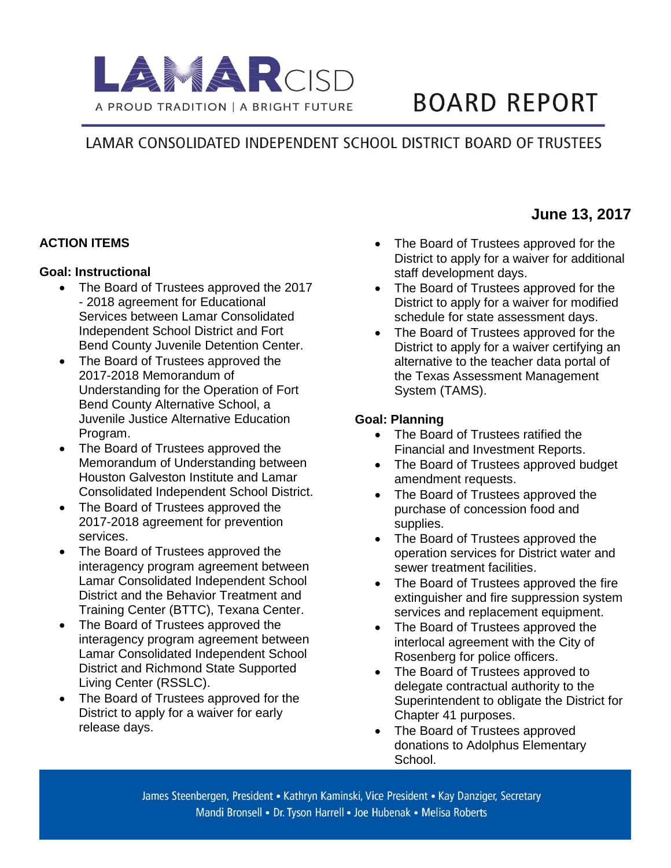

# **BOARD REPORT**

# LAMAR CONSOLIDATED INDEPENDENT SCHOOL DISTRICT BOARD OF TRUSTEES

# **ACTION ITEMS**

#### **Goal: Instructional**

- The Board of Trustees approved the 2017 - 2018 agreement for Educational Services between Lamar Consolidated Independent School District and Fort Bend County Juvenile Detention Center.
- The Board of Trustees approved the 2017-2018 Memorandum of Understanding for the Operation of Fort Bend County Alternative School, a Juvenile Justice Alternative Education Program.
- The Board of Trustees approved the Memorandum of Understanding between Houston Galveston Institute and Lamar Consolidated Independent School District.
- The Board of Trustees approved the 2017-2018 agreement for prevention services.
- The Board of Trustees approved the interagency program agreement between Lamar Consolidated Independent School District and the Behavior Treatment and Training Center (BTTC), Texana Center.
- The Board of Trustees approved the interagency program agreement between Lamar Consolidated Independent School District and Richmond State Supported Living Center (RSSLC).
- The Board of Trustees approved for the District to apply for a waiver for early release days.

• The Board of Trustees approved for the District to apply for a waiver for additional staff development days.

**June 13, 2017**

- The Board of Trustees approved for the District to apply for a waiver for modified schedule for state assessment days.
- The Board of Trustees approved for the District to apply for a waiver certifying an alternative to the teacher data portal of the Texas Assessment Management System (TAMS).

#### **Goal: Planning**

- The Board of Trustees ratified the Financial and Investment Reports.
- The Board of Trustees approved budget amendment requests.
- The Board of Trustees approved the purchase of concession food and supplies.
- The Board of Trustees approved the operation services for District water and sewer treatment facilities.
- The Board of Trustees approved the fire extinguisher and fire suppression system services and replacement equipment.
- The Board of Trustees approved the interlocal agreement with the City of Rosenberg for police officers.
- The Board of Trustees approved to delegate contractual authority to the Superintendent to obligate the District for Chapter 41 purposes.
- The Board of Trustees approved donations to Adolphus Elementary School.

James Steenbergen, President • Kathryn Kaminski, Vice President • Kay Danziger, Secretary Mandi Bronsell • Dr. Tyson Harrell • Joe Hubenak • Melisa Roberts